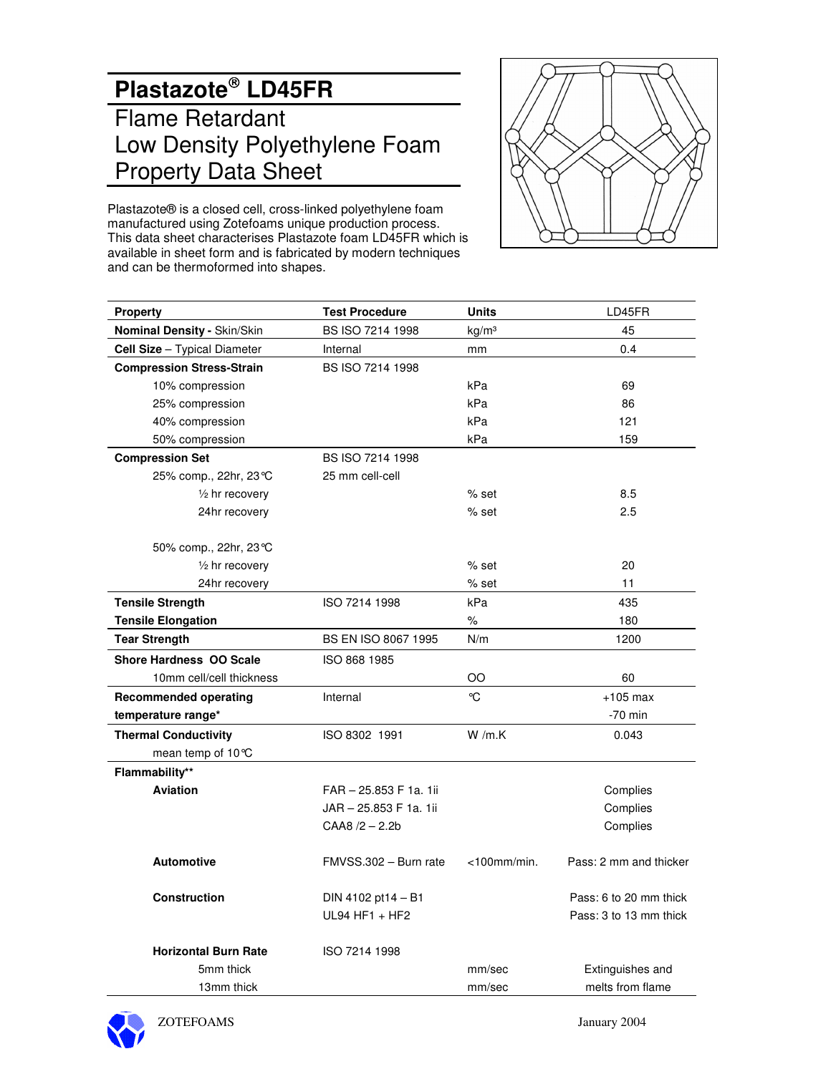# **Plastazote LD45FR** Flame Retardant Low Density Polyethylene Foam Property Data Sheet



Plastazote® is a closed cell, cross-linked polyethylene foam manufactured using Zotefoams unique production process. This data sheet characterises Plastazote foam LD45FR which is available in sheet form and is fabricated by modern techniques and can be thermoformed into shapes.

| <b>Property</b>                     | <b>Test Procedure</b>  | <b>Units</b>      | LD45FR                 |
|-------------------------------------|------------------------|-------------------|------------------------|
| Nominal Density - Skin/Skin         | BS ISO 7214 1998       | kg/m <sup>3</sup> | 45                     |
| <b>Cell Size</b> - Typical Diameter | Internal               | mm                | 0.4                    |
| <b>Compression Stress-Strain</b>    | BS ISO 7214 1998       |                   |                        |
| 10% compression                     |                        | kPa               | 69                     |
| 25% compression                     |                        | kPa               | 86                     |
| 40% compression                     |                        | kPa               | 121                    |
| 50% compression                     |                        | kPa               | 159                    |
| <b>Compression Set</b>              | BS ISO 7214 1998       |                   |                        |
| 25% comp., 22hr, 23 ℃               | 25 mm cell-cell        |                   |                        |
| $\frac{1}{2}$ hr recovery           |                        | % set             | 8.5                    |
| 24hr recovery                       |                        | $%$ set           | 2.5                    |
| 50% comp., 22hr, 23 ℃               |                        |                   |                        |
| 1/2 hr recovery                     |                        | % set             | 20                     |
| 24hr recovery                       |                        | $%$ set           | 11                     |
| <b>Tensile Strength</b>             | ISO 7214 1998          | kPa               | 435                    |
| <b>Tensile Elongation</b>           |                        | %                 | 180                    |
| <b>Tear Strength</b>                | BS EN ISO 8067 1995    | N/m               | 1200                   |
| <b>Shore Hardness OO Scale</b>      | ISO 868 1985           |                   |                        |
| 10mm cell/cell thickness            |                        | OO                | 60                     |
| <b>Recommended operating</b>        | Internal               | °C                | $+105$ max             |
| temperature range*                  |                        |                   | $-70$ min              |
| <b>Thermal Conductivity</b>         | ISO 8302 1991          | W/m.K             | 0.043                  |
| mean temp of $10^{\circ}$ C         |                        |                   |                        |
| Flammability**                      |                        |                   |                        |
| <b>Aviation</b>                     | FAR - 25.853 F 1a. 1ii |                   | Complies               |
|                                     | JAR - 25.853 F 1a. 1ii |                   | Complies               |
|                                     | $CAA8 / 2 - 2.2b$      |                   | Complies               |
| <b>Automotive</b>                   | FMVSS.302 - Burn rate  | $<$ 100mm/min.    | Pass: 2 mm and thicker |
| <b>Construction</b>                 | DIN 4102 pt14 $- B1$   |                   | Pass: 6 to 20 mm thick |
|                                     | $UL94 HF1 + HF2$       |                   | Pass: 3 to 13 mm thick |
| <b>Horizontal Burn Rate</b>         | ISO 7214 1998          |                   |                        |
| 5mm thick                           |                        | mm/sec            | Extinguishes and       |
| 13mm thick                          |                        | mm/sec            | melts from flame       |